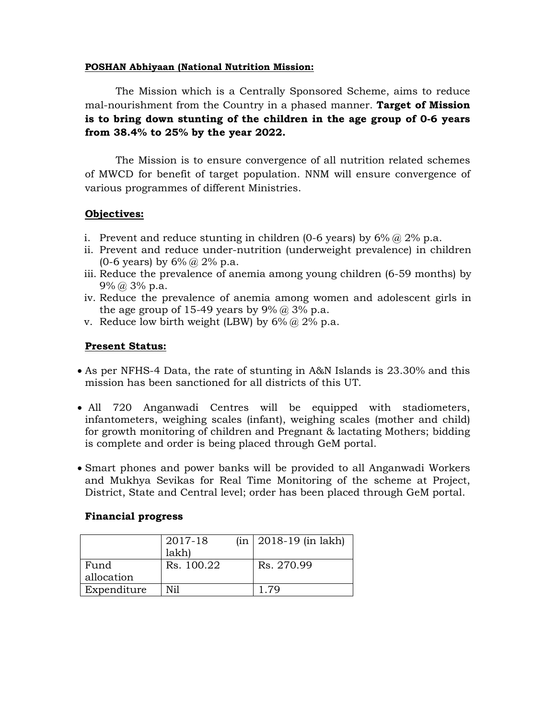#### **POSHAN Abhiyaan (National Nutrition Mission:**

The Mission which is a Centrally Sponsored Scheme, aims to reduce mal-nourishment from the Country in a phased manner. **Target of Mission is to bring down stunting of the children in the age group of 0-6 years from 38.4% to 25% by the year 2022.** 

 The Mission is to ensure convergence of all nutrition related schemes of MWCD for benefit of target population. NNM will ensure convergence of various programmes of different Ministries.

#### **Objectives:**

- i. Prevent and reduce stunting in children (0-6 years) by  $6\%$  @ 2% p.a.
- ii. Prevent and reduce under-nutrition (underweight prevalence) in children  $(0-6 \text{ years})$  by  $6\%$  @ 2\% p.a.
- iii. Reduce the prevalence of anemia among young children (6-59 months) by  $9\%$  @  $3\%$  p.a.
- iv. Reduce the prevalence of anemia among women and adolescent girls in the age group of 15-49 years by  $9\%$   $\omega$  3% p.a.
- v. Reduce low birth weight (LBW) by  $6\%$  @ 2% p.a.

#### **Present Status:**

- As per NFHS-4 Data, the rate of stunting in A&N Islands is 23.30% and this mission has been sanctioned for all districts of this UT.
- All 720 Anganwadi Centres will be equipped with stadiometers, infantometers, weighing scales (infant), weighing scales (mother and child) for growth monitoring of children and Pregnant & lactating Mothers; bidding is complete and order is being placed through GeM portal.
- Smart phones and power banks will be provided to all Anganwadi Workers and Mukhya Sevikas for Real Time Monitoring of the scheme at Project, District, State and Central level; order has been placed through GeM portal.

#### **Financial progress**

|             | 2017-18    | $(in   2018-19 (in 1akh))$ |
|-------------|------------|----------------------------|
|             | lakh)      |                            |
| Fund        | Rs. 100.22 | Rs. 270.99                 |
| allocation  |            |                            |
| Expenditure | Ni1        |                            |